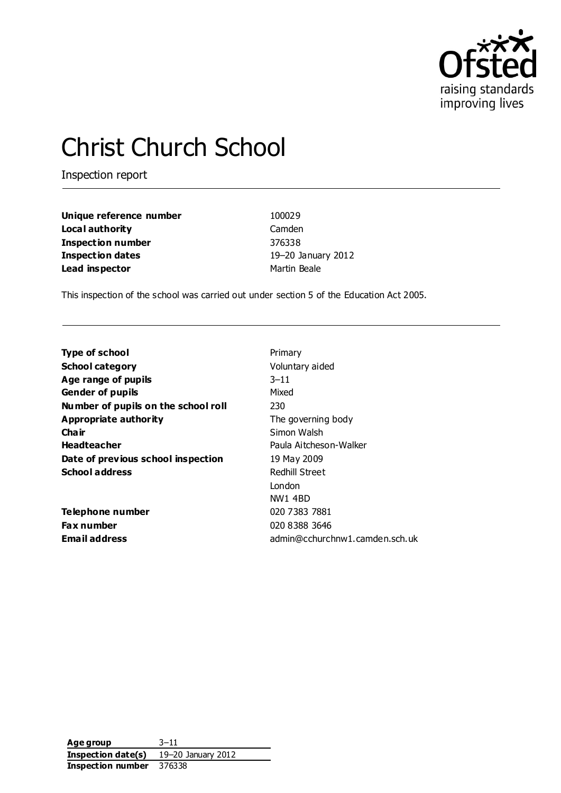

# Christ Church School

Inspection report

| Unique reference number | 100029             |
|-------------------------|--------------------|
| Local authority         | Camden             |
| Inspection number       | 376338             |
| <b>Inspection dates</b> | 19-20 January 2012 |
| Lead inspector          | Martin Beale       |

This inspection of the school was carried out under section 5 of the Education Act 2005.

| <b>Type of school</b>               | Primary                        |
|-------------------------------------|--------------------------------|
| <b>School category</b>              | Voluntary aided                |
| Age range of pupils                 | $3 - 11$                       |
| <b>Gender of pupils</b>             | Mixed                          |
| Number of pupils on the school roll | 230                            |
| Appropriate authority               | The governing body             |
| Cha ir                              | Simon Walsh                    |
| <b>Headteacher</b>                  | Paula Aitcheson-Walker         |
| Date of previous school inspection  | 19 May 2009                    |
| <b>School address</b>               | Redhill Street                 |
|                                     | London                         |
|                                     | NW1 4BD                        |
| Telephone number                    | 020 7383 7881                  |
| Fax number                          | 020 8388 3646                  |
| Email address                       | admin@cchurchnw1.camden.sch.uk |
|                                     |                                |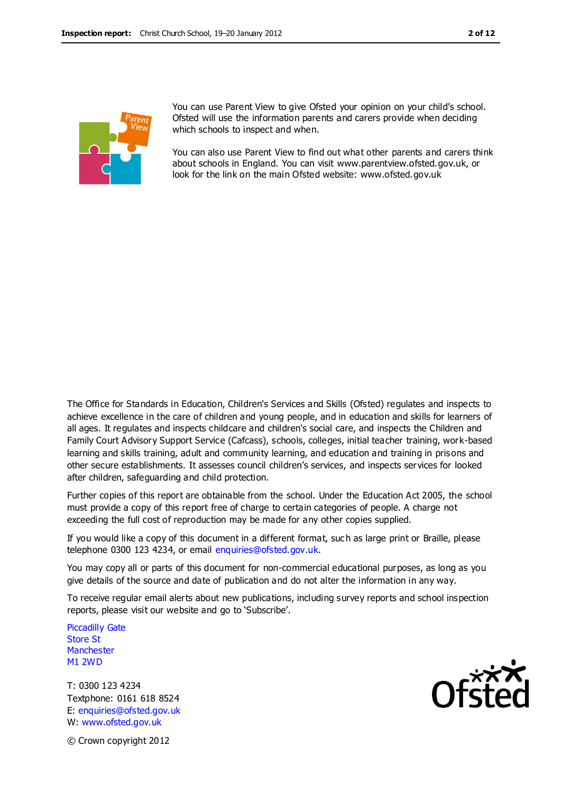

You can use Parent View to give Ofsted your opinion on your child's school. Ofsted will use the information parents and carers provide when deciding which schools to inspect and when.

You can also use Parent View to find out what other parents and carers think about schools in England. You can visit www.parentview.ofsted.gov.uk, or look for the link on the main Ofsted website: www.ofsted.gov.uk

The Office for Standards in Education, Children's Services and Skills (Ofsted) regulates and inspects to achieve excellence in the care of children and young people, and in education and skills for learners of all ages. It regulates and inspects childcare and children's social care, and inspects the Children and Family Court Advisory Support Service (Cafcass), schools, colleges, initial teacher training, work-based learning and skills training, adult and community learning, and education and training in prisons and other secure establishments. It assesses council children's services, and inspects services for looked after children, safeguarding and child protection.

Further copies of this report are obtainable from the school. Under the Education Act 2005, the school must provide a copy of this report free of charge to certain categories of people. A charge not exceeding the full cost of reproduction may be made for any other copies supplied.

If you would like a copy of this document in a different format, suc h as large print or Braille, please telephone 0300 123 4234, or email enquiries@ofsted.gov.uk.

You may copy all or parts of this document for non-commercial educational purposes, as long as you give details of the source and date of publication and do not alter the information in any way.

To receive regular email alerts about new publications, including survey reports and school inspection reports, please visit our website and go to 'Subscribe'.

Piccadilly Gate Store St **Manchester** M1 2WD

T: 0300 123 4234 Textphone: 0161 618 8524 E: enquiries@ofsted.gov.uk W: www.ofsted.gov.uk



© Crown copyright 2012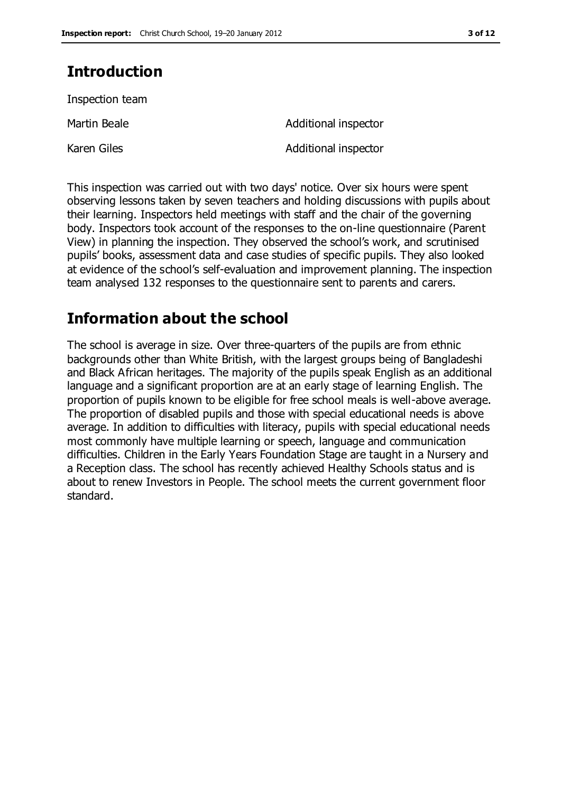# **Introduction**

Inspection team

Karen Giles **Additional inspector** 

Martin Beale **Additional** inspector

This inspection was carried out with two days' notice. Over six hours were spent observing lessons taken by seven teachers and holding discussions with pupils about their learning. Inspectors held meetings with staff and the chair of the governing body. Inspectors took account of the responses to the on-line questionnaire (Parent View) in planning the inspection. They observed the school's work, and scrutinised pupils' books, assessment data and case studies of specific pupils. They also looked at evidence of the school's self-evaluation and improvement planning. The inspection team analysed 132 responses to the questionnaire sent to parents and carers.

## **Information about the school**

The school is average in size. Over three-quarters of the pupils are from ethnic backgrounds other than White British, with the largest groups being of Bangladeshi and Black African heritages. The majority of the pupils speak English as an additional language and a significant proportion are at an early stage of learning English. The proportion of pupils known to be eligible for free school meals is well-above average. The proportion of disabled pupils and those with special educational needs is above average. In addition to difficulties with literacy, pupils with special educational needs most commonly have multiple learning or speech, language and communication difficulties. Children in the Early Years Foundation Stage are taught in a Nursery and a Reception class. The school has recently achieved Healthy Schools status and is about to renew Investors in People. The school meets the current government floor standard.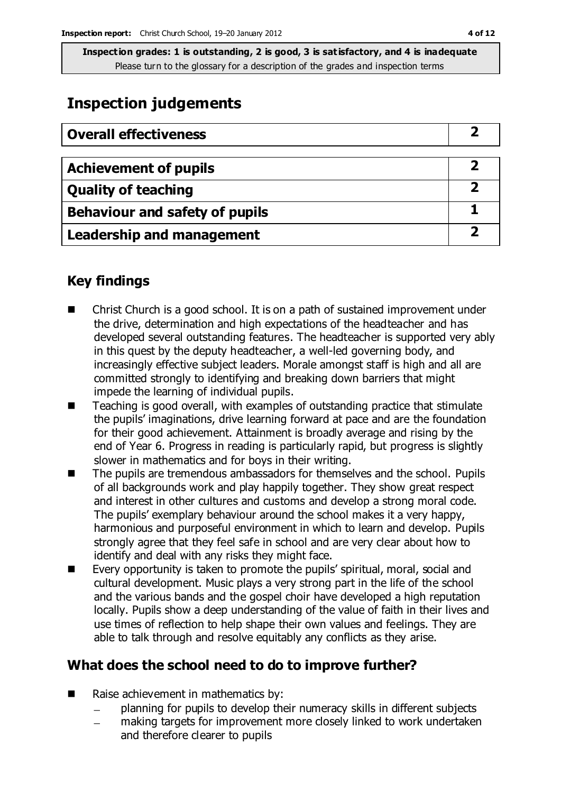# **Inspection judgements**

| <b>Overall effectiveness</b>     |   |
|----------------------------------|---|
|                                  |   |
| <b>Achievement of pupils</b>     |   |
| <b>Quality of teaching</b>       |   |
| Behaviour and safety of pupils   |   |
| <b>Leadership and management</b> | כ |

### **Key findings**

- Christ Church is a good school. It is on a path of sustained improvement under the drive, determination and high expectations of the headteacher and has developed several outstanding features. The headteacher is supported very ably in this quest by the deputy headteacher, a well-led governing body, and increasingly effective subject leaders. Morale amongst staff is high and all are committed strongly to identifying and breaking down barriers that might impede the learning of individual pupils.
- $\blacksquare$  Teaching is good overall, with examples of outstanding practice that stimulate the pupils' imaginations, drive learning forward at pace and are the foundation for their good achievement. Attainment is broadly average and rising by the end of Year 6. Progress in reading is particularly rapid, but progress is slightly slower in mathematics and for boys in their writing.
- The pupils are tremendous ambassadors for themselves and the school. Pupils of all backgrounds work and play happily together. They show great respect and interest in other cultures and customs and develop a strong moral code. The pupils' exemplary behaviour around the school makes it a very happy, harmonious and purposeful environment in which to learn and develop. Pupils strongly agree that they feel safe in school and are very clear about how to identify and deal with any risks they might face.
- Every opportunity is taken to promote the pupils' spiritual, moral, social and cultural development. Music plays a very strong part in the life of the school and the various bands and the gospel choir have developed a high reputation locally. Pupils show a deep understanding of the value of faith in their lives and use times of reflection to help shape their own values and feelings. They are able to talk through and resolve equitably any conflicts as they arise.

### **What does the school need to do to improve further?**

- Raise achievement in mathematics by:
	- planning for pupils to develop their numeracy skills in different subjects
	- making targets for improvement more closely linked to work undertaken  $\overline{\phantom{a}}$ and therefore clearer to pupils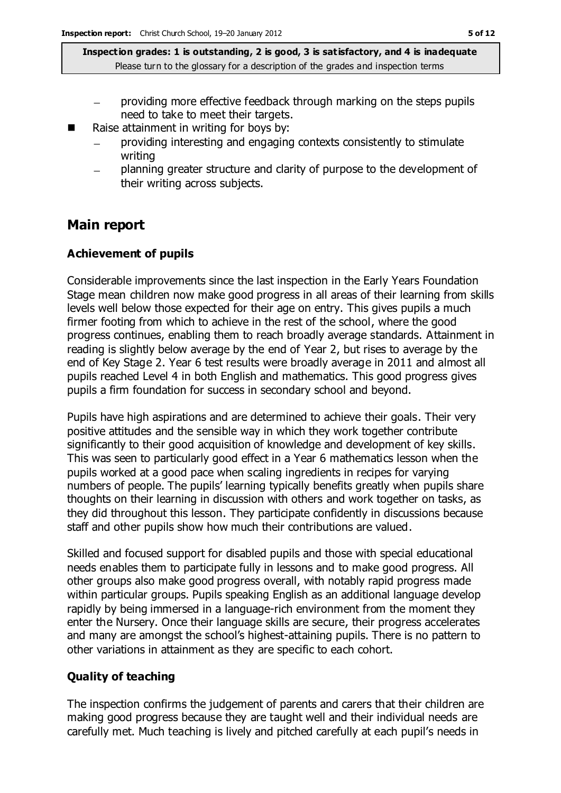- providing more effective feedback through marking on the steps pupils need to take to meet their targets.
- Raise attainment in writing for boys by:
	- providing interesting and engaging contexts consistently to stimulate writing
	- planning greater structure and clarity of purpose to the development of  $\equiv$ their writing across subjects.

### **Main report**

#### **Achievement of pupils**

Considerable improvements since the last inspection in the Early Years Foundation Stage mean children now make good progress in all areas of their learning from skills levels well below those expected for their age on entry. This gives pupils a much firmer footing from which to achieve in the rest of the school, where the good progress continues, enabling them to reach broadly average standards. Attainment in reading is slightly below average by the end of Year 2, but rises to average by the end of Key Stage 2. Year 6 test results were broadly average in 2011 and almost all pupils reached Level 4 in both English and mathematics. This good progress gives pupils a firm foundation for success in secondary school and beyond.

Pupils have high aspirations and are determined to achieve their goals. Their very positive attitudes and the sensible way in which they work together contribute significantly to their good acquisition of knowledge and development of key skills. This was seen to particularly good effect in a Year 6 mathematics lesson when the pupils worked at a good pace when scaling ingredients in recipes for varying numbers of people. The pupils' learning typically benefits greatly when pupils share thoughts on their learning in discussion with others and work together on tasks, as they did throughout this lesson. They participate confidently in discussions because staff and other pupils show how much their contributions are valued.

Skilled and focused support for disabled pupils and those with special educational needs enables them to participate fully in lessons and to make good progress. All other groups also make good progress overall, with notably rapid progress made within particular groups. Pupils speaking English as an additional language develop rapidly by being immersed in a language-rich environment from the moment they enter the Nursery. Once their language skills are secure, their progress accelerates and many are amongst the school's highest-attaining pupils. There is no pattern to other variations in attainment as they are specific to each cohort.

#### **Quality of teaching**

The inspection confirms the judgement of parents and carers that their children are making good progress because they are taught well and their individual needs are carefully met. Much teaching is lively and pitched carefully at each pupil's needs in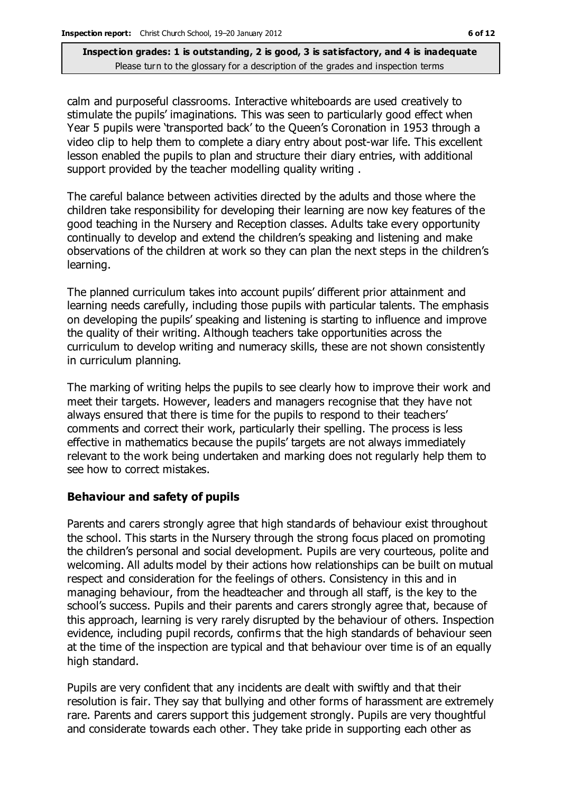calm and purposeful classrooms. Interactive whiteboards are used creatively to stimulate the pupils' imaginations. This was seen to particularly good effect when Year 5 pupils were 'transported back' to the Queen's Coronation in 1953 through a video clip to help them to complete a diary entry about post-war life. This excellent lesson enabled the pupils to plan and structure their diary entries, with additional support provided by the teacher modelling quality writing .

The careful balance between activities directed by the adults and those where the children take responsibility for developing their learning are now key features of the good teaching in the Nursery and Reception classes. Adults take every opportunity continually to develop and extend the children's speaking and listening and make observations of the children at work so they can plan the next steps in the children's learning.

The planned curriculum takes into account pupils' different prior attainment and learning needs carefully, including those pupils with particular talents. The emphasis on developing the pupils' speaking and listening is starting to influence and improve the quality of their writing. Although teachers take opportunities across the curriculum to develop writing and numeracy skills, these are not shown consistently in curriculum planning.

The marking of writing helps the pupils to see clearly how to improve their work and meet their targets. However, leaders and managers recognise that they have not always ensured that there is time for the pupils to respond to their teachers' comments and correct their work, particularly their spelling. The process is less effective in mathematics because the pupils' targets are not always immediately relevant to the work being undertaken and marking does not regularly help them to see how to correct mistakes.

#### **Behaviour and safety of pupils**

Parents and carers strongly agree that high standards of behaviour exist throughout the school. This starts in the Nursery through the strong focus placed on promoting the children's personal and social development. Pupils are very courteous, polite and welcoming. All adults model by their actions how relationships can be built on mutual respect and consideration for the feelings of others. Consistency in this and in managing behaviour, from the headteacher and through all staff, is the key to the school's success. Pupils and their parents and carers strongly agree that, because of this approach, learning is very rarely disrupted by the behaviour of others. Inspection evidence, including pupil records, confirms that the high standards of behaviour seen at the time of the inspection are typical and that behaviour over time is of an equally high standard.

Pupils are very confident that any incidents are dealt with swiftly and that their resolution is fair. They say that bullying and other forms of harassment are extremely rare. Parents and carers support this judgement strongly. Pupils are very thoughtful and considerate towards each other. They take pride in supporting each other as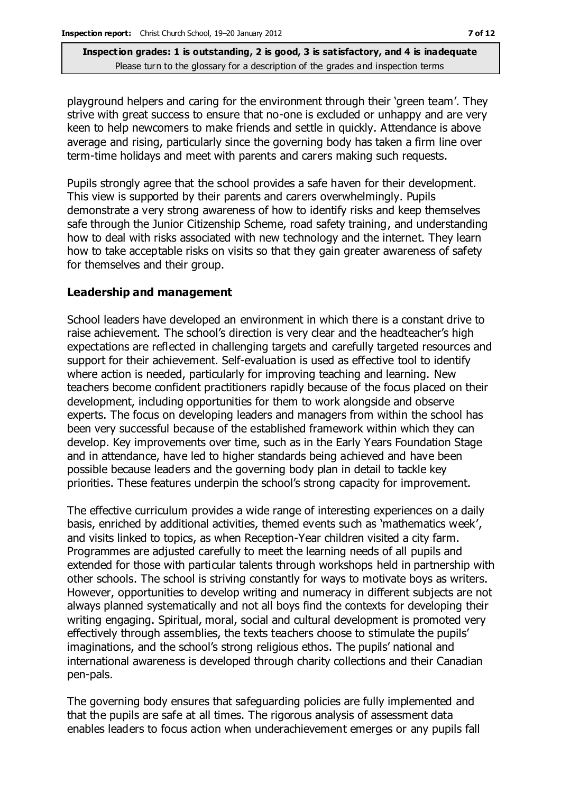playground helpers and caring for the environment through their 'green team'. They strive with great success to ensure that no-one is excluded or unhappy and are very keen to help newcomers to make friends and settle in quickly. Attendance is above average and rising, particularly since the governing body has taken a firm line over term-time holidays and meet with parents and carers making such requests.

Pupils strongly agree that the school provides a safe haven for their development. This view is supported by their parents and carers overwhelmingly. Pupils demonstrate a very strong awareness of how to identify risks and keep themselves safe through the Junior Citizenship Scheme, road safety training, and understanding how to deal with risks associated with new technology and the internet. They learn how to take acceptable risks on visits so that they gain greater awareness of safety for themselves and their group.

#### **Leadership and management**

School leaders have developed an environment in which there is a constant drive to raise achievement. The school's direction is very clear and the headteacher's high expectations are reflected in challenging targets and carefully targeted resources and support for their achievement. Self-evaluation is used as effective tool to identify where action is needed, particularly for improving teaching and learning. New teachers become confident practitioners rapidly because of the focus placed on their development, including opportunities for them to work alongside and observe experts. The focus on developing leaders and managers from within the school has been very successful because of the established framework within which they can develop. Key improvements over time, such as in the Early Years Foundation Stage and in attendance, have led to higher standards being achieved and have been possible because leaders and the governing body plan in detail to tackle key priorities. These features underpin the school's strong capacity for improvement.

The effective curriculum provides a wide range of interesting experiences on a daily basis, enriched by additional activities, themed events such as 'mathematics week', and visits linked to topics, as when Reception-Year children visited a city farm. Programmes are adjusted carefully to meet the learning needs of all pupils and extended for those with particular talents through workshops held in partnership with other schools. The school is striving constantly for ways to motivate boys as writers. However, opportunities to develop writing and numeracy in different subjects are not always planned systematically and not all boys find the contexts for developing their writing engaging. Spiritual, moral, social and cultural development is promoted very effectively through assemblies, the texts teachers choose to stimulate the pupils' imaginations, and the school's strong religious ethos. The pupils' national and international awareness is developed through charity collections and their Canadian pen-pals.

The governing body ensures that safeguarding policies are fully implemented and that the pupils are safe at all times. The rigorous analysis of assessment data enables leaders to focus action when underachievement emerges or any pupils fall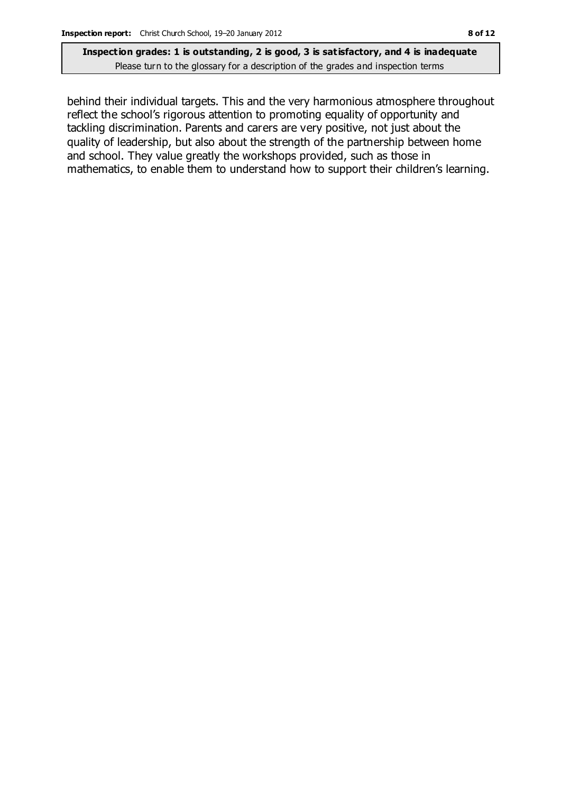behind their individual targets. This and the very harmonious atmosphere throughout reflect the school's rigorous attention to promoting equality of opportunity and tackling discrimination. Parents and carers are very positive, not just about the quality of leadership, but also about the strength of the partnership between home and school. They value greatly the workshops provided, such as those in mathematics, to enable them to understand how to support their children's learning.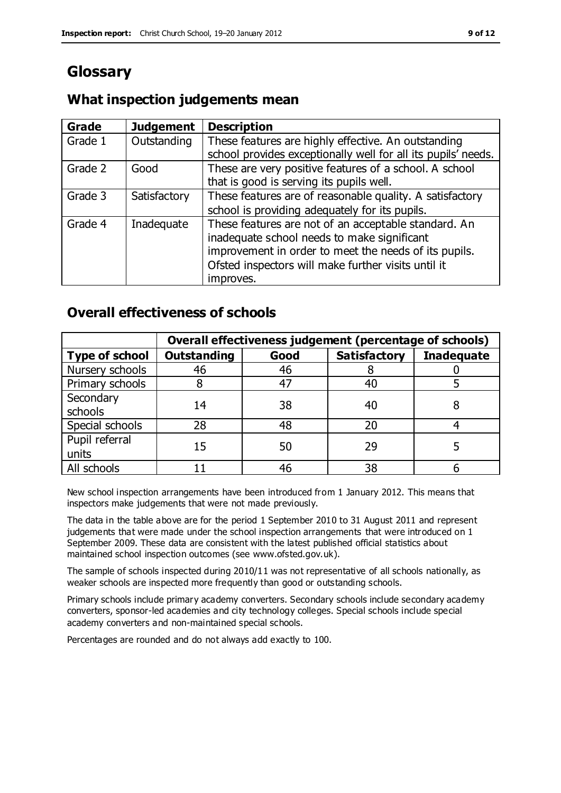# **Glossary**

### **What inspection judgements mean**

| Grade   | <b>Judgement</b> | <b>Description</b>                                                                                                                                                                                                               |
|---------|------------------|----------------------------------------------------------------------------------------------------------------------------------------------------------------------------------------------------------------------------------|
| Grade 1 | Outstanding      | These features are highly effective. An outstanding<br>school provides exceptionally well for all its pupils' needs.                                                                                                             |
| Grade 2 | Good             | These are very positive features of a school. A school<br>that is good is serving its pupils well.                                                                                                                               |
| Grade 3 | Satisfactory     | These features are of reasonable quality. A satisfactory<br>school is providing adequately for its pupils.                                                                                                                       |
| Grade 4 | Inadequate       | These features are not of an acceptable standard. An<br>inadequate school needs to make significant<br>improvement in order to meet the needs of its pupils.<br>Ofsted inspectors will make further visits until it<br>improves. |

### **Overall effectiveness of schools**

|                         | Overall effectiveness judgement (percentage of schools) |      |                     |                   |
|-------------------------|---------------------------------------------------------|------|---------------------|-------------------|
| <b>Type of school</b>   | <b>Outstanding</b>                                      | Good | <b>Satisfactory</b> | <b>Inadequate</b> |
| Nursery schools         | 46                                                      | 46   |                     |                   |
| Primary schools         |                                                         | 47   | 40                  |                   |
| Secondary<br>schools    | 14                                                      | 38   | 40                  |                   |
| Special schools         | 28                                                      | 48   | 20                  |                   |
| Pupil referral<br>units | 15                                                      | 50   | 29                  |                   |
| All schools             |                                                         | 46   | 38                  |                   |

New school inspection arrangements have been introduced from 1 January 2012. This means that inspectors make judgements that were not made previously.

The data in the table above are for the period 1 September 2010 to 31 August 2011 and represent judgements that were made under the school inspection arrangements that were introduced on 1 September 2009. These data are consistent with the latest published official statistics about maintained school inspection outcomes (see www.ofsted.gov.uk).

The sample of schools inspected during 2010/11 was not representative of all schools nationally, as weaker schools are inspected more frequently than good or outstanding schools.

Primary schools include primary academy converters. Secondary schools include secondary academy converters, sponsor-led academies and city technology colleges. Special schools include special academy converters and non-maintained special schools.

Percentages are rounded and do not always add exactly to 100.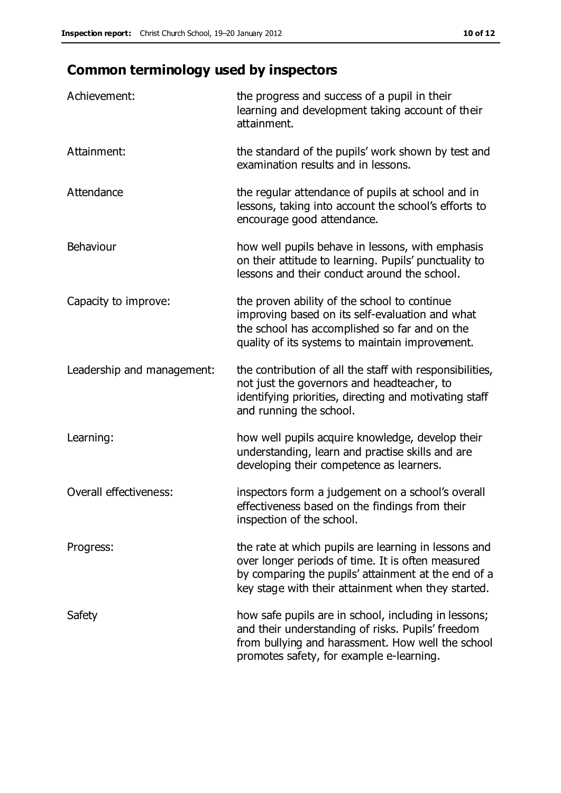# **Common terminology used by inspectors**

| Achievement:                  | the progress and success of a pupil in their<br>learning and development taking account of their<br>attainment.                                                                                                        |
|-------------------------------|------------------------------------------------------------------------------------------------------------------------------------------------------------------------------------------------------------------------|
| Attainment:                   | the standard of the pupils' work shown by test and<br>examination results and in lessons.                                                                                                                              |
| Attendance                    | the regular attendance of pupils at school and in<br>lessons, taking into account the school's efforts to<br>encourage good attendance.                                                                                |
| Behaviour                     | how well pupils behave in lessons, with emphasis<br>on their attitude to learning. Pupils' punctuality to<br>lessons and their conduct around the school.                                                              |
| Capacity to improve:          | the proven ability of the school to continue<br>improving based on its self-evaluation and what<br>the school has accomplished so far and on the<br>quality of its systems to maintain improvement.                    |
| Leadership and management:    | the contribution of all the staff with responsibilities,<br>not just the governors and headteacher, to<br>identifying priorities, directing and motivating staff<br>and running the school.                            |
| Learning:                     | how well pupils acquire knowledge, develop their<br>understanding, learn and practise skills and are<br>developing their competence as learners.                                                                       |
| <b>Overall effectiveness:</b> | inspectors form a judgement on a school's overall<br>effectiveness based on the findings from their<br>inspection of the school.                                                                                       |
| Progress:                     | the rate at which pupils are learning in lessons and<br>over longer periods of time. It is often measured<br>by comparing the pupils' attainment at the end of a<br>key stage with their attainment when they started. |
| Safety                        | how safe pupils are in school, including in lessons;<br>and their understanding of risks. Pupils' freedom<br>from bullying and harassment. How well the school<br>promotes safety, for example e-learning.             |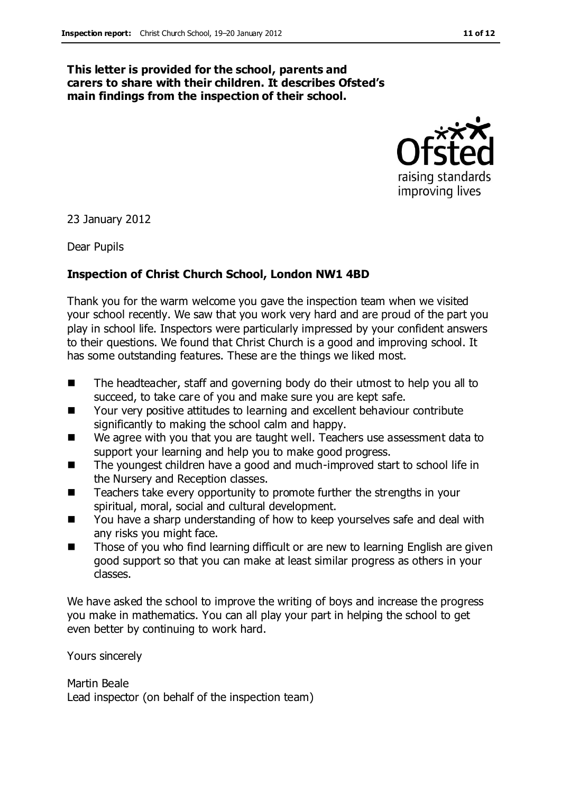#### **This letter is provided for the school, parents and carers to share with their children. It describes Ofsted's main findings from the inspection of their school.**



23 January 2012

Dear Pupils

#### **Inspection of Christ Church School, London NW1 4BD**

Thank you for the warm welcome you gave the inspection team when we visited your school recently. We saw that you work very hard and are proud of the part you play in school life. Inspectors were particularly impressed by your confident answers to their questions. We found that Christ Church is a good and improving school. It has some outstanding features. These are the things we liked most.

- The headteacher, staff and governing body do their utmost to help you all to succeed, to take care of you and make sure you are kept safe.
- Your very positive attitudes to learning and excellent behaviour contribute significantly to making the school calm and happy.
- We agree with you that you are taught well. Teachers use assessment data to support your learning and help you to make good progress.
- The youngest children have a good and much-improved start to school life in the Nursery and Reception classes.
- Teachers take every opportunity to promote further the strengths in your spiritual, moral, social and cultural development.
- You have a sharp understanding of how to keep yourselves safe and deal with any risks you might face.
- Those of you who find learning difficult or are new to learning English are given good support so that you can make at least similar progress as others in your classes.

We have asked the school to improve the writing of boys and increase the progress you make in mathematics. You can all play your part in helping the school to get even better by continuing to work hard.

Yours sincerely

Martin Beale Lead inspector (on behalf of the inspection team)